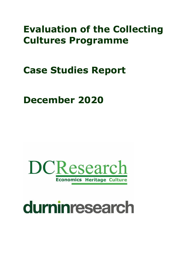# **Evaluation of the Collecting Cultures Programme**

# **Case Studies Report**

# **December 2020**



# durninresearch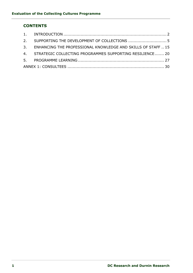## **CONTENTS**

<span id="page-1-0"></span>

|  | 2. SUPPORTING THE DEVELOPMENT OF COLLECTIONS  5                 |  |
|--|-----------------------------------------------------------------|--|
|  | 3. ENHANCING THE PROFESSIONAL KNOWLEDGE AND SKILLS OF STAFF  15 |  |
|  | 4. STRATEGIC COLLECTING PROGRAMMES SUPPORTING RESILIENCE 20     |  |
|  |                                                                 |  |
|  |                                                                 |  |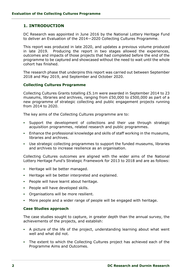## **1. INTRODUCTION**

DC Research was appointed in June 2016 by the National Lottery Heritage Fund to deliver an Evaluation of the 2014—2020 Collecting Cultures Programme.

This report was produced in late 2020, and updates a previous volume produced in late 2019. Producing the report in two stages allowed the experiences, outcomes and impacts of those projects that had completed before the end of the programme to be captured and showcased without the need to wait until the whole cohort has finished.

The research phase that underpins this report was carried out between September 2018 and May 2019, and September and October 2020.

#### **Collecting Cultures Programme**

Collecting Cultures Grants totalling £5.1m were awarded in September 2014 to 23 museums, libraries and archives, ranging from £50,000 to £500,000 as part of a new programme of strategic collecting and public engagement projects running from 2014 to 2020.

The key aims of the Collecting Cultures programme are to:

- Support the development of collections and their use through strategic acquisition programmes, related research and public programmes.
- **Enhance the professional knowledge and skills of staff working in the museums,** libraries and archives.
- Use strategic collecting programmes to support the funded museums, libraries and archives to increase resilience as an organisation.

Collecting Cultures outcomes are aligned with the wider aims of the National Lottery Heritage Fund's Strategic Framework for 2013 to 2018 and are as follows:

- Heritage will be better managed.
- Heritage will be better interpreted and explained.
- People will have learnt about heritage.
- People will have developed skills.
- Organisations will be more resilient.
- More people and a wider range of people will be engaged with heritage.

#### **Case Studies approach**

The case studies sought to capture, in greater depth than the annual survey, the achievements of the projects, and establish:

- A picture of the life of the project, understanding learning about what went well and what did not.
- The extent to which the Collecting Cultures project has achieved each of the Programme Aims and Outcomes.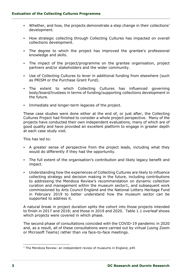- Whether, and how, the projects demonstrate a step change in their collections' development.
- How strategic collecting through Collecting Cultures has impacted on overall collections development.
- The degree to which the project has improved the grantee's professional knowledge and skills.
- The impact of the project/programme on the grantee organisation, project partners and/or stakeholders and the wider community.
- Use of Collecting Cultures to lever in additional funding from elsewhere (such as PRISM or the Purchase Grant Fund).
- The extent to which Collecting Cultures has influenced governing body/board/trustees in terms of funding/supporting collections development in the future.
- Immediate and longer-term legacies of the project.

These case studies were done either at the end of, or just after, the Collecting Cultures Project had finished to consider a whole project perspective. Many of the projects have conducted their own independent evaluations, many of which are of good quality and have provided an excellent platform to engage in greater depth at each case study visit.

This has led to:

- A greater sense of perspective from the project leads, including what they would do differently if they had the opportunity.
- The full extent of the organisation's contribution and likely legacy benefit and impact.
- Understanding how the experiences of Collecting Cultures are likely to influence collecting strategy and decision making in the future, including contributions to addressing the Mendoza Review's recommendation on dynamic collection curation and management within the museum sector1, and subsequent work commissioned by Arts Council England and the National Lottery Heritage Fund in February 2019 to better understand how the museum sector can be supported to address it.

A natural break in project duration splits the cohort into those projects intended to finish in 2017 and 2018; and those in 2019 and 2020. Table 1.1 overleaf shows which projects were covered in which phase.

The second phase of consultations coincided with the COVID-19 pandemic in 2020 and, as a result, all of these consultations were carried out by virtual (using Zoom or Microsoft Teams) rather than via face-to-face meetings.

<sup>&</sup>lt;sup>1</sup> The Mendoza Review: an independent review of museums in England, p45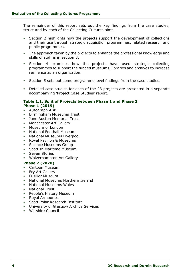The remainder of this report sets out the key findings from the case studies, structured by each of the Collecting Cultures aims.

- Section 2 highlights how the projects support the development of collections and their use through strategic acquisition programmes, related research and public programmes.
- The approach taken by the projects to enhance the professional knowledge and skills of staff is in section 3.
- Section 4 examines how the projects have used strategic collecting programmes to support the funded museums, libraries and archives to increase resilience as an organisation.
- Section 5 sets out some programme level findings from the case studies.
- Detailed case studies for each of the 23 projects are presented in a separate accompanying 'Project Case Studies' report.

#### **Table 1.1: Split of Projects between Phase 1 and Phase 2 Phase 1 (2019)**

- Autograph ABP
- **Birmingham Museums Trust**
- Jane Austen Memorial Trust
- **·** Manchester Art Gallery
- **Museum of London**
- National Football Museum
- National Museums Liverpool
- Royal Pavilion & Museums
- **Science Museums Group**
- **Scottish Maritime Museum**
- Seven Stories
- Wolverhampton Art Gallery

#### **Phase 2 (2020)**

- Cartoon Museum
- Fry Art Gallery
- Fusilier Museum
- National Museums Northern Ireland
- National Museums Wales
- **National Trust**
- **•** People's History Museum
- Royal Armouries
- Scott Polar Research Institute
- University of Glasgow Archive Services
- Wiltshire Council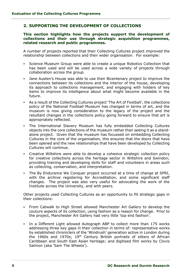## <span id="page-5-0"></span>**2. SUPPORTING THE DEVELOPMENT OF COLLECTIONS**

**This section highlights how the projects support the development of collections and their use through strategic acquisition programmes, related research and public programmes.**

A number of projects reported that their Collecting Cultures project improved the relationship between collections and their wider organisation. For example:

- Science Museum Group were able to create a unique Robotics Collection that has been used and will be used across a wide variety of projects through collaboration across the group.
- Jane Austen's House was able to use their Bicentenary project to improve the connections between its collections and the interior of the house, developing its approach to collections management, and engaging with holders of key items to improve its intelligence about what might become available in the future.
- As a result of the Collecting Cultures project 'The Art of Football', the collections policy of the National Football Museum has changed in terms of art, and the museum is now giving consideration to the legacy of the project and the resultant changes in the collections policy going forward to ensure that art is appropriately reflected.
- The International Slavery Museum has fully embedded Collecting Cultures objects into the core collections of the museum rather than seeing it as a standalone project. Given that the museum has focussed on embedding Collecting Cultures in the core of the organisation, this ensures that the doors that have been opened and the new relationships that have been developed by Collecting Cultures will continue.
- Creative Wiltshire were able to develop a cohesive strategic collection policy for creative collections across the heritage sector in Wiltshire and Swindon; providing training and developing skills for staff and volunteers in areas such as collecting, conservation, and interpretation.
- The By Endurance We Conquer project occurred at a time of change at SPRI, with the archive registering for Accreditation, and some significant staff changes. The project was also very useful for advocating the work of the Institute across the University, and with peers.

Other projects used Collecting Cultures as an opportunity to fill strategic gaps in their collections:

- From Catwalk to High Street allowed Manchester Art Gallery to develop the couture aspects of its collection, using fashion as a reason for change. Prior to the project, Manchester Art Gallery had very little 'top end fashion'.
- In a Different Light allowed Autograph ABP to collect more than 175 works addressing three key gaps in their collection in terms of: representative works by established chroniclers of the 'Windrush' generation active in London during the 1960s and 1970s; 19th Century British portraits of sitters of African Caribbean and South East Asian heritage; and digitised film works by Clovis Salmon (aka 'Sam The Wheels').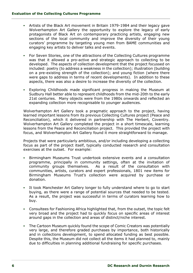- Artists of the Black Art movement in Britain 1979-1984 and their legacy gave Wolverhampton Art Gallery the opportunity to explore the legacy of early protagonists of Black Art on contemporary practicing artists, engaging new sections of the local community and improve the diversity of their young curators' programme by targeting young men from BAME communities and engaging key artists to deliver talks and events.
- For Seven Stories, one of the attractions of the Collecting Cultures programme was that it allowed a pro-active and strategic approach to collecting to be developed. The aspects of collection development that the project focussed on included: poetry (to address a weakness in the collection); illustration (building on a pre-existing strength of the collection); and young fiction (where there were gaps to address in terms of recent developments). In addition to these aspects, there was also a desire to increase the diversity of the collection.
- Exploring Childhoods made significant progress in making the Museum at Sudbury Hall better able to represent childhoods from the mid-20th to the early 21st centuries. Many objects were from the 1980s onwards and reflected an expanding collection more recognisable to younger audiences.

Wolverhampton Art Gallery took a pragmatic approach to the project, having learned important lessons from its previous Collecting Cultures project (Peace and Reconciliation), which it delivered in partnership with The Herbert, Coventry. Wolverhampton Art Gallery completed the project in a short timescale, learning lessons from the Peace and Reconciliation project. This provided the project with focus, and Wolverhampton Art Gallery found it more straightforward to manage.

Projects that were particularly ambitious, and/or including developing a collecting focus as part of the project itself, typically conducted research and consultation exercises at the outset. For example:

- Birmingham Museums Trust undertook extensive events and a consultation programme, principally in community settings, often at the invitation of community groups themselves. As a result of the consultation with communities, artists, curators and expert professionals, 1801 new items for Birmingham Museums Trust's collection were acquired by purchase or donation.
- It took Manchester Art Gallery longer to fully understand where to go to start buying, as there were a range of potential sources that needed to be tested. As a result, the project was successful in terms of curators learning how to buy.
- Consultees for Fashioning Africa highlighted that, from the outset, the topic felt very broad and the project had to quickly focus on specific areas of interest around gaps in the collection and areas of distinct/niche interest.
- The Cartoon Museum quickly found the scope of Comic Creators was potentially very large, and therefore graded purchases by importance, both historically and in collections development, to spend allocated funding as best possible. Despite this, the Museum did not collect all the items it had planned to, mainly due to difficulties in planning additional fundraising for specific purchases.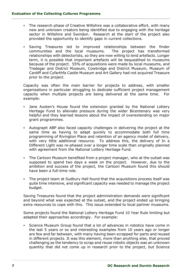- The research phase of Creative Wiltshire was a collaborative effort, with many new and unknown creators being identified due to engaging with the heritage sector in Wiltshire and Swindon. Research at the start of the project also provided the opportunity to identify gaps in current collections.
- Saving Treasures led to improved relationships between the finder communities and the local museums. The project has transformed relationships with detectorists, so they are now willing to lend artefacts. Longer term, it is possible that important artefacts will be bequeathed to museums because of the project. 55% of acquisitions were made by local museums, and Tredegar and District Museum, Cowbridge and District Museum, Museum of Cardiff and Cyfarthfa Castle Museum and Art Gallery had not acquired Treasure prior to the project.

Capacity was often the main barrier for projects to address, with smaller organisations in particular struggling to dedicate sufficient project management capacity when multiple projects are being delivered at the same time. For example:

- Jane Austen's House found the extension granted by the National Lottery Heritage Fund to alleviate pressure during the wider Bicentenary was very helpful and they learned lessons about the impact of overextending on major grant programmes.
- Autograph ABP also faced capacity challenges in delivering the project at the same time as having to adapt quickly to accommodate both full time programming of Rivington Place and retention of an agency model of delivery, with very little additional resource. To address this, the delivery of In a Different Light was re-phased over a longer time scale than originally planned with agreement from the National Lottery Heritage Fund.
- **The Cartoon Museum benefited from a project manager, who at the outset was** supposed to spend two days a week on the project. However, due to the ambition and success of the project, the Cartoon Museum found this should have been a full-time role.
- The project team at Sudbury Hall found that the acquisitions process itself was quite time intensive, and significant capacity was needed to manage the project budget.

Saving Treasures found that the project administration demands were significant and beyond what was expected at the outset, and the project ended up bringing extra resources to cope with this. This issue extended to local partner museums.

Some projects found the National Lottery Heritage Fund 10 Year Rule limiting but adapted their approaches accordingly. For example:

Science Museum Group found that a lot of advances in robotics have come in the last 5 years or so and interesting examples from 10 years ago or longer are few and far between, with many having been scrapped for parts and reused in different projects. It was this element, more than anything else, that proved challenging as the tendency to scrap and reuse robotic objects was an unknown quantity that did not come up in research prior to the project, but Science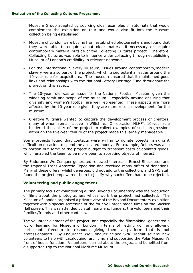Museum Group adapted by sourcing older examples of automata that would complement the exhibition on tour and would also fit into the Museum collection being established.

- Museum of London were buying from established photographers and found that they were able to enquire about older material if necessary or acquire contemporary material outside of the Collecting Cultures project. Therefore, Collecting Cultures was able to influence wider collecting through establishing Museum of London's credibility in relevant networks.
- For the International Slavery Museum, issues around contemporary/modern slavery were also part of the project, which raised potential issues around the 10-year rule for acquisitions. The museum ensured that it maintained good links and relationships with the National Lottery Heritage Fund throughout the project on this aspect.
- The 10-year rule was an issue for the National Football Museum given the widening remit and scope of the museum – especially around ensuring that diversity and women's football are well represented. These aspects are more affected by the 10-year rule given they are more recent developments for the museum.
- Creative Wiltshire wanted to capture the development process of creators, many of whom remain active in Wiltshire. On occasion NLHF's 10-year rule hindered the ability of the project to collect examples of such progression, although the five-year tenure of the project made this largely manageable.

Some projects found that contacts were willing to donate objects, making it difficult on occasion to spend the allocated money. For example, Robots was able to portion out some of the project budget to transport costs of donated goods, which enabled the team to be more open to accepting objects of interest.

By Endurance We Conquer generated renewed interest in Ernest Shackleton and the Imperial Trans-Antarctic Expedition and received many offers of donations. Many of these offers, whilst generous, did not add to the collection, and SPRI staff found the project empowered them to justify why such offers had to be rejected.

#### **Volunteering and public engagement**

The primary focus of volunteering during Beyond Documentary was the production of films about the photographers whose work the project had collected. The Museum of London organised a private view of the Beyond Documentary exhibition together with a special screening of the four volunteer-made films on the Sackler Hall screen. This was attended by staff, partners, funders, the volunteers and their families/friends and other contacts.

The volunteer element of the project, and especially the filmmaking, generated a lot of learning for Museum of London in terms of 'letting go', and allowing participants freedom to respond, giving them a platform that is not professionalised. By Endurance We Conquer helped SPRI recruit several new volunteers to help with cataloguing, archiving and supporting the Polar Museum's front of house function. Volunteers learned about the project and benefited from a supported trip to the National Maritime Museum.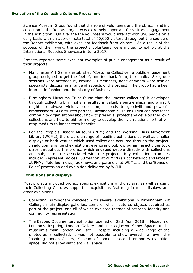Science Museum Group found that the role of volunteers and the object handling collection in the Robots project was extremely important for visitors' engagement in the exhibition. On average the volunteers would interact with 350 people on a daily basis with an approximate total of 70,000 visitors throughout the course of the Robots exhibition, with excellent feedback from visitors. As a result of the success of their work, the project's volunteers were invited to exhibit at the International Robotics Showcase in June 2017.

Projects reported some excellent examples of public engagement as a result of their projects:

- Manchester Art Gallery established 'Costume Collective', a public engagement group designed to get the feel of, and feedback from, the public. Six group sessions were attended by around 20 members, none of whom were fashion specialists, discussing a range of aspects of the project. The group had a keen interest in fashion and the history of fashion.
- Birmingham Museums Trust found that the 'messy collecting' it developed through Collecting Birmingham resulted in valuable partnerships, and whilst it might not always yield a collection, it leads to goodwill and powerful ambassadors. As a trusted partner, Birmingham Museums Trust can now teach community organisations about how to preserve, protect and develop their own collections and how to bid for money to develop them, a relationship that will reap medium to longer term benefits.
- For the People's History Museum (PHM) and the Working Class Movement Library (WCML), there were a range of headline exhibitions as well as smaller displays at both venues which used collections acquired through the project. In addition, a range of exhibitions, events and public programme activities took place throughout the project which engaged people directly with collections and subject matter associated with the project. Key exhibition examples include: 'Represent! Voices 100 Year on' at PHM; 'Disrupt? Peterloo and Protest' at PHM; 'Peterloo: news, faek news and paranoia' at WCML; and the 'Bones of Paine' procession and exhibition delivered by WCML.

#### **Exhibitions and displays**

Most projects included project specific exhibitions and displays, as well as using their Collecting Cultures supported acquisitions featuring in main displays and other exhibitions.

- Collecting Birmingham coincided with several exhibitions in Birmingham Art Gallery's main display galleries, some of which featured objects acquired as part of the project, and all of which explored themes of personal identity and community representation.
- The Beyond Documentary exhibition opened on 28th April 2018 in Museum of London's Inspiring London Gallery and the adjacent Show Space at the museum's main London Wall site. Despite including a wide range of the photography collected, it was not possible to show everything (even the Inspiring London Gallery, Museum of London's second temporary exhibition space, did not allow sufficient wall space).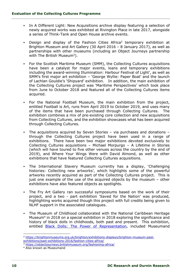- In A Different Light: New Acquisitions archive display featuring a selection of newly acquired works was exhibited at Rivington Place in late 2017, alongside a series of Think-Tank and Open House archive events.
- **•** Design and display of the Fashion Cities Africa<sup>2</sup> temporary exhibition at Brighton Museum and Art Gallery (30 April 2016 – 8 January 2017), as well as partnerships with other museums (including an Object Journeys partnership with The British Museum<sup>3</sup>).
- For the Scottish Maritime Museum (SMM), the Collecting Cultures acquisitions have been a catalyst for major events, loans and temporary exhibitions including the award-winning Illumination: Harbour Festival of Light', as well as SMM's first major art exhibition – 'George Wyllie: Paper Boat' and the launch of Lachlan Gouldie's 'Shipyard' exhibition. In addition, the main exhibition of the Collecting Cultures project was 'Maritime Perspectives' which took place from June to October 2018 and featured all of the Collecting Cultures items acquired.
- For the National Football Museum, the main exhibition from the project, entitled Football is Art, runs from April 2019 to October 2019, and uses many of the items that have been purchased through Collecting Cultures. The exhibition combines a mix of pre-existing core collection and new acquisitions from Collecting Cultures, and the exhibition showcases what has been acquired through Collecting Cultures.
- The acquisitions acquired by Seven Stories via purchases and donations through the Collecting Cultures project have been used in a range of exhibitions. There have been two major exhibitions devoted exclusively to Collecting Cultures acquisitions – Michael Morpurgo – A Lifetime in Stories (which will have toured to five other venues across the country by the end of 2019), and Where Your Wings Were with David Almond, as well as other exhibitions that have featured Collecting Cultures acquisitions.
- The International Slavery Museum currently has a display, 'Challenging histories: Collecting new artworks', which highlights some of the powerful artworks recently acquired as part of the Collecting Cultures project. This is just one example of the use of the acquired objects by the museum – other exhibitions have also featured objects as spotlights.
- The Fry Art Gallery ran successful symposiums based on the work of their project, and a two - part exhibition 'Saved for the Nation' was produced, highlighting works acquired though this project with full credits being given to NLHF support in the associated catalogues.
- The Museum of Childhood collaborated with the National Caribbean Heritage Museum<sup>4</sup> in 2018 on a special exhibition in 2018 exploring the significance and history of black dolls in childhoods, both past and present. This exhibition, entitled [Black Dolls: The Power of Representation,](https://www.nationaltrust.org.uk/sudbury-hall-and-the-national-trust-museum-of-childhood/features/black-dolls-the-power-of-representation-exhibition) included Museumand

<sup>2</sup> [https://brightonmuseums.org.uk/brighton/exhibitions-displays/brighton-museum-past](https://brightonmuseums.org.uk/brighton/exhibitions-displays/brighton-museum-past-exhibitions/past-exhibitions-2016/fashion-cities-africa/)[exhibitions/past-exhibitions-2016/fashion-cities-africa/](https://brightonmuseums.org.uk/brighton/exhibitions-displays/brighton-museum-past-exhibitions/past-exhibitions-2016/fashion-cities-africa/)

<sup>3</sup> <https://objectjourneys.britishmuseum.org/fashioning-africa/>

<sup>4</sup> Also known as Museumand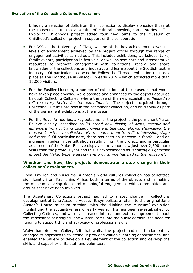bringing a selection of dolls from their collection to display alongside those at the museum, but also a wealth of cultural knowledge and stories. The Exploring Childhoods project added four new items to the Museum of Childhood's collection project in support of this collaboration.

- For ASC at the University of Glasgow, one of the key achievements was the levels of engagement achieved by the project officer through the range of engagement activities carried out. This included exhibitions, workshops, talks, family events, participation in festivals, as well as seminars and interpretative resources to promote engagement with collections, record and share knowledge of the collections and industry, and learn about the Scottish textile industry. Of particular note was the Follow the Threads exhibition that took place at The Lighthouse in Glasgow in early 2019 – which attracted more than 10,000 visitors.
- For the Fusilier Museum, a number of exhibitions at the museum that would have taken place anyway, were boosted and enhanced by the objects acquired through Collecting Cultures, where the use of the new acquisitions *"helped to tell the story better for the exhibitions"*. The objects acquired through Collecting Cultures are now in the permanent collection, and on display as part of the permanent exhibitions at the museum.
- For the Royal Armouries, a key outcome for the project is the permanent Make: Believe display, described as *"A brand new display of arms, armour and ephemera from cult and classic movies and television shows, showcasing the museum's extensive collection of arms and armour from film, television, stage and more."* Of particular note, there has been an increase in footfall, and an increase in sales in the gift shop resulting from the project, and in particular as a result of the Make: Believe display – the venue saw just over 2,500 more visits than the previous year and this is acknowledged as *"showing a significant impact the Make: Believe display and programme has had on the museum"*.

#### **Whether, and how, the projects demonstrate a step change in their collections' development.**

Royal Pavilion and Museums Brighton's world cultures collection has benefitted significantly from Fashioning Africa, both in terms of the objects and in making the museum develop deep and meaningful engagement with communities and groups that have been involved.

The Bicentenary Collections project has led to a step change in collections development at Jane Austen's House. It symbolises a return to the original Jane Austen's House museum mission, with the 'Making the Museum' exhibition highlighting the acquisitiveness of early years. This has been re-established by Collecting Cultures, and with it, increased internal and external agreement about the importance of bringing Jane Austen items into the public domain, the need for funding to support this and advocacy of professional skills.

Wolverhampton Art Gallery felt that whilst the project had not fundamentally changed its approach to collecting, it provided valuable learning opportunities, and enabled the Gallery to develop a key element of the collection and develop the skills and capability of its staff and volunteers.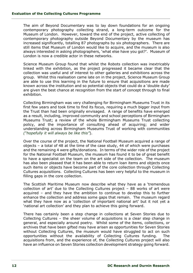The aim of Beyond Documentary was to lay down foundations for an ongoing contemporary photography collecting strand, a long-term outcome for the Museum of London. However, toward the end of the project, active collecting of contemporary photography outside Beyond Documentary by the museum has increased significantly, totalling 87 photographs by six photographers. There are still items that Museum of London would like to acquire, and the museum is also always interested in asking photographers, 'what else have you got?'. Museum of London is now a credible actor in these networks.

Science Museum Group found that whilst the Robots collection was inextricably linked with the exhibition, as the project progressed it became clear that the collection was useful and of interest to other galleries and exhibitions across the group. Whilst this realisation came late on in the project, Science Museum Group are able to use this learning in the future to ensure that acquisitions are made known across the institution and so potential objects that could do a 'double duty' are given the best chance at recognition from the start of concept through to final exhibition.

Collecting Birmingham was very challenging for Birmingham Museums Trust in its first few years and took time to find its focus, requiring a much bigger input from the Trust than had been originally envisaged. A range of benefits have emerged as a result, including, improved community and school perceptions of Birmingham Museums Trust; a review of the whole Birmingham Museums Trust collecting policy, and the importance of consulting ahead of acquiring; and wider understanding across Birmingham Museums Trust of working with communities *("hopefully it will always be like this"*).

Over the course of the project, the National Football Museum acquired a range of objects – a total of 48 at the time of the case study, 44 of which were purchases and the remaining 4 were gifts/donations. In terms of the wider role of the project for the National Football Museum, the museum has found it to be of great benefit to have a specialist on the team on the art side of the collection. The museum has also been pleased that it has been able to return loan items and objects once such items or objects have become part of the core collection through Collecting Cultures acquisitions. Collecting Cultures has been very helpful to the museum in filling gaps in the core collection.

The Scottish Maritime Museum now describe what they have as a 'tremendous collection of art' due to the Collecting Cultures project – 88 works of art were acquired – and they have the ambition to continue to develop this to further enhance the collection and address some gaps that remain. The museum regard what they have now as a 'collection of important national art' but it not yet a 'national art collection' and they plan to achieve this going forward.

There has certainly been a step change in collections at Seven Stories due to Collecting Cultures – the sheer volume of acquisitions is a clear step change in general, and especially around poetry. Whilst some of the items, collections, or archives that have been gifted may have arisen as opportunities for Seven Stories without Collecting Cultures, the museum would have struggled to act on such opportunities without the availability of Collecting Cultures funding. The acquisitions from, and the experience of, the Collecting Cultures project will also have an influence on Seven Stories collection development strategy going forward.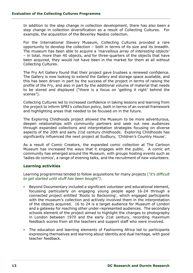In addition to the step change in collection development, there has also been a step change in collection diversification as a result of Collecting Cultures. For example, the acquisition of the Beverley Naidoo collection.

For the International Slavery Museum, Collecting Cultures provided a rare opportunity to develop the collection – both in terms of its size and its breadth. The museum has been able to acquire a *'marvellous array of interesting objects'* – in total, more than 40 objects, and for three-quarters of the objects that have been acquired, they would not have been in the market for them at all without Collecting Cultures.

The Fry Art Gallery found that their project gave trustees a renewed confidence. The Gallery is now looking to extend the Gallery and storage space available, and this has been driven in part by the success of the project in terms of raising the profile of the Fry, and also in part by the additional volume of material that needs to be stored and displayed ("there is a focus on 'getting it right' behind the scenes").

Collecting Cultures led to increased confidence in taking lessons and learning from the project to inform SPRI's collection policy, both in terms of an overall framework and highlighting areas that needed to be focused on in the future.

The Exploring Childhoods project allowed the Museum to be more adventurous, deepen relationships with community partners and seek out new audiences through expanded collections and interpretation strategies focusing on diverse aspects of the 20th and early 21st century childhoods. Exploring Childhoods has significantly influenced the next project at Sudbury, 'Children's Country House'.

As a result of Comic Creators, the expanded comic collection at The Cartoon Museum has increased the ways that it engages with the public. A comic art community has emerged around the Museum, with groups hosting events such as 'ladies do comics', a range of evening talks, and the recruitment of new volunteers.

#### **Learning activities**

Learning programmes tended to follow acquisitions for many projects (*"it's difficult to get started until stuff has been bought").* 

- Beyond Documentary included a significant volunteer and educational element, focussing particularly on engaging young people aged 16-24 through a connected project entitled 'Roots to Reckoning', which engaged participants with the museum's collection and actively involved them in the interpretation of the objects acquired. 16 to 24 is a target audience for Museum of London and a gateway for reaching other under-represented audiences. The secondary schools element of the project aimed to highlight the changes to photography in London between 1970 and the early 21st century, recording maximum feedback scores from all the teachers and support staff who were involved.
- The education and learning elements of Fashioning Africa led to participants expressing themselves and learning about identity and dual heritage, with good teacher feedback.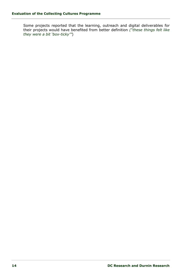Some projects reported that the learning, outreach and digital deliverables for their projects would have benefited from better definition *("these things felt like they were a bit 'box-ticky'"*)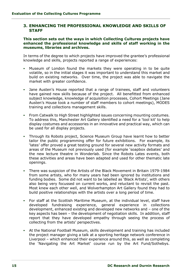#### <span id="page-15-0"></span>**3. ENHANCING THE PROFESSIONAL KNOWLEDGE AND SKILLS OF STAFF**

#### **This section sets out the ways in which Collecting Cultures projects have enhanced the professional knowledge and skills of staff working in the museums, libraries and archives.**

In terms of the degree to which projects have improved the grantee's professional knowledge and skills, projects reported a range of experiences:

- Museum of London found the markets they were operating in to be quite volatile, so in the initial stages it was important to understand this market and build on existing networks. Over time, the project was able to navigate the market with greater confidence.
- Jane Austen's House reported that a range of trainees, staff and volunteers have gained new skills because of the project. All benefitted from enhanced subject knowledge, knowledge of acquisition processes, Cohort Meetings (Jane Austen's House took a number of staff members to cohort meetings), MODES training and collections management skills.
- **From Catwalk to High Street highlighted issues concerning mounting costumes.** To address this, Manchester Art Gallery identified a need for a 'tool kit' to help display costumes and accessories in an innovative and practical way, which can be used for all display projects.
- Through its Robots project, Science Museum Group have learnt how to better tailor the public programming offer for future exhibitions. For example, its 'lates' offer proved a great testing ground for several new activity formats and areas of the Museum not previously used (for example 'soapbox debates' and the new lecture theatre in Wonderlab. Since the Robots Lates events, both these activities and areas have been adapted and used for other thematic late openings.
- There was suspicion of the Artists of the Black Movement in Britain 1979-1984 from some artists, who for many years had been ignored by institutions and funding bodies. Some did not want to be labelled as 'Black Artists', with others also being very focussed on current works, and reluctant to revisit the past. Most knew each other well, and Wolverhampton Art Gallery found they had to build positive relationships with the artists over a long period of time.
- For staff at the Scottish Maritime Museum, at the individual level, staff have developed fundraising experience, general experience in collections development, enhanced existing and developed new networks and – one of the key aspects has been – the development of negotiation skills. In addition, staff report that they have developed empathy through seeing the process of collecting from the artists' perspectives.
- At the National Football Museum, skills development and training has included the project manager giving a talk at a sporting heritage network conference in Liverpool – which enhanced their experience around this, as well as completing the 'Navigating the Art Market' course run by the Art Fund/Sothebys.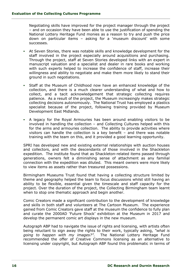Negotiating skills have improved for the project manager through the project – and on occasion they have been able to use the justification of spending the National Lottery Heritage Fund monies as a reason to try and push the price down on particular items – asking for a 'museum discount' with some successes.

- At Seven Stories, there was notable skills and knowledge development for the staff involved in the project especially around acquisitions and purchasing. Through the project, staff at Seven Stories developed links with an expert in manuscript valuation and a specialist and dealer in rare books and working with such experts helped to increase the confidence of staff, increase their willingness and ability to negotiate and make them more likely to stand their ground in such negotiations.
- Staff at the Museum of Childhood now have an enhanced knowledge of the collection, and there is a much clearer understanding of what and how to collect, and a tacit acknowledgement that strategic collecting requires patience. As a result of the project, the Museum increasingly makes strategic collecting decisions autonomously. The National Trust has employed a plastics specialist because of the project, following training provided by Museum Development East Midlands.
- A legacy for the Royal Armouries has been around enabling visitors to be involved in handling the collection – and Collecting Cultures helped with this for the arms and armouries collection. The ability to provide activities where visitors can handle the collection is a key benefit – and there was notable training with the team on this, and it provided a good learning opportunity.

SPRI has developed new and existing external relationships with auction houses and collectors, and with the descendants of those involved in the Shackleton expedition. The institute found that as Shackleton-related items passed through generations, owners felt a diminishing sense of attachment as any familial connection with the expedition was diluted. This meant owners were more likely to view items as assets rather than treasured possessions.

Birmingham Museums Trust found that having a collecting structure limited by theme and geography helped the team to focus discussions whilst still having an ability to be flexible, essential given the timescale and staff capacity for the project. Over the duration of the project, the Collecting Birmingham team learnt when to stop one thematic approach and begin another.

Comic Creators made a significant contribution to the development of knowledge and skills in both staff and volunteers at The Cartoon Museum. The experience gained from Comic Creators gave staff at the museum the confidence to fully plan and curate the 2000AD 'Future Shock' exhibition at the Museum in 2017 and develop the permanent comic art displays in the new museum.

Autograph ABP had to navigate the issue of rights and licensing, with artists often being reluctant to sign away the rights to their work, typically asking, *"what is going to happen with my images?"*. The National Lottery Heritage Fund recommended the offer of Creative Commons licensing as an alternative to licensing under copyright, but Autograph ABP found this problematic in terms of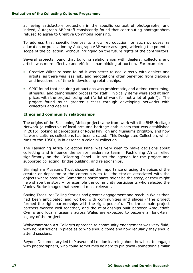achieving satisfactory protection in the specific context of photography, and indeed, Autograph ABP staff consistently found that contributing photographers refused to agree to Creative Commons licensing.

To address this, specific licences to allow reproduction for such purposes as education or publication by Autograph ABP were arranged, widening the potential scope of the collection, without infringing on the future rights of the contributors.

Several projects found that building relationships with dealers, collectors and artists was more effective and efficient than bidding at auction. For example:

- Creative Wiltshire soon found it was better to deal directly with dealers and artists, as there was less risk, and negotiations often benefited from dialogue and investment of time in developing relationships.
- SPRI found that acquiring at auctions was problematic, and a time-consuming, stressful, and demoralising process for staff. Typically items were sold at high prices with the project losing out ("a lot of work for not a lot of gain"). The project found much greater success through developing networks with collectors and dealers.

#### **Ethics and community relationships**

The origins of the Fashioning Africa project came from work with the BME Heritage Network (a collective of local arts and heritage enthusiasts that was established in 2015) looking at perceptions of Royal Pavilion and Museums Brighton, and how its world cultures collections had been created. This Designated Collection, which runs to the 1950s, is in essence a colonial collection.

The Fashioning Africa Collection Panel was very keen to make decisions about collecting and influence the senior leadership team. Fashioning Africa relied significantly on the Collecting Panel - it set the agenda for the project and supported collecting, bridge building, and relationships.

Birmingham Museums Trust discovered the importance of using the voices of the creator or depositor or the community to tell the stories associated with the objects where possible. Sometimes participants might be the story, or they might help shape the story – for example the community participants who selected the Vanley Burke images that seemed most relevant.

Saving Treasure; Telling Stories had greater engagement and reach in Wales than had been anticipated and worked with communities and places ("The project formed the right partnerships with the right people"). The three main project partners worked well together, and the relationships built between Amgueddfa Cymru and local museums across Wales are expected to become a long-term legacy of the project.

Wolverhampton Art Gallery's approach to community engagement was very fluid, with no restrictions in place as to who should come and how regularly they should attend sessions.

Beyond Documentary led to Museum of London learning about how best to engage with photographers, who could sometimes be hard to pin down (something similar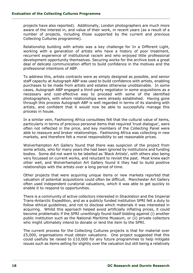projects have also reported). Additionally, London photographers are much more aware of the interest in, and value of their work, in recent years (as a result of a number of projects, including those supported by the current and previous Collecting Cultures programme).

Relationship building with artists was a key challenge for In a Different Light, working with a generation of artists who have a history of poor treatment, recurrent experience of institutional racism and who enjoyed little professional development opportunity themselves. Securing works for the archive took a great deal of delicate communication effort to build confidence in the motives and the professional intentions of ABP.

To address this, artists contracts were as simply designed as possible, and senior staff capacity at Autograph ABP was used to build confidence with artists, enabling purchases to be made from artists and estates otherwise unobtainable. In some cases, Autograph ABP engaged a third-party negotiator in some acquisitions as a necessary and cost-effective way to proceed with some of the identified photographers, with whom relationships were already established. Having gone through this process Autograph ABP is well regarded in terms of its standing with artists, and confident that it would now be able to successfully manage this process in house.

In a similar vein, Fashioning Africa consultees felt that the cultural value of items, particularly in terms of precious personal items that required 'trust dialogue', were often not reflected in the price, and key members of the Collecting Panel were able to reassure and broker relationships. Fashioning Africa was collecting in new markets, and therefore felt a moral responsibility to set reasonable prices.

Wolverhampton Art Gallery found that there was suspicion of the project from some artists, who for many years the had been ignored by institutions and funding bodies. Some did not want to be labelled as 'Black Artists', with others also being very focussed on current works, and reluctant to revisit the past. Most knew each other well, and Wolverhampton Art Gallery found it they had to build positive relationships with the artists over a long period of time.

Other projects that were acquiring unique items or new markets reported that valuation of potential acquisitions could often be difficult. Manchester Art Gallery often used independent curatorial valuations, which it was able to get quickly to enable it to respond to opportunities.

There is a community of active collectors interested in Shackleton and the Imperial Trans-Antarctic Expedition, and as a publicly funded institution SPRI felt a duty to follow ethical guidelines, and not to disclose which materials it was interested in acquiring. Whilst this approach helped avoid artificially inflating prices, it could become problematic if the SPRI unwittingly found itself bidding against (i) another public institution such as the National Maritime Museum, or (ii) private collectors who might ultimately intend to donate or lend the item to the SPRI.

The current process for the Collecting Cultures projects is that for material over £5,000, organisations must obtain valuations. One project suggested that this could usefully be raised to £10,000 for any future programmes to help mitigate issues such as items selling for slightly over the valuation but still being a relatively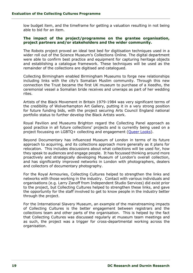low budget item, and the timeframe for getting a valuation resulting in not being able to bid for an item.

#### **The impact of the project/programme on the grantee organisation, project partners and/or stakeholders and the wider community.**

The Robots project proved an ideal test bed for digitisation techniques used in a wider roll out of the Science Museum's Collections Online. The digital department were able to confirm best practice and equipment for capturing heritage objects and establishing a catalogue framework. These techniques will be used as the remainder of the collections are digitised and catalogued.

Collecting Birmingham enabled Birmingham Museums to forge new relationships including links with the city's Somalian Muslim community. Through this new connection the Trust became the first UK museum to purchase of a Xeedho, the ceremonial vessel a Somalian bride receives and unwraps as part of her wedding rites.

Artists of the Black Movement in Britain 1979-1984 was very significant terms of the credibility of Wolverhampton Art Gallery, putting it in a very strong position for future funding bids, with the project securing Arts Council England national portfolio status to further develop the Black Artists work.

Royal Pavilion and Museums Brighton regard the Collecting Panel approach as good practice in all future collections' projects and is currently being used on a project focussing on LGBTQ+ collecting and engagement [\(Queer Looks\)](https://brightonmuseums.org.uk/brighton/exhibitions-displays/queer-looks/).

Beyond Documentary has influenced Museum of London in terms of its future approach to acquiring, and its collections approach more generally as it plans for relocation. This includes discussions about what collections will be used for, how they speak to audiences and engage people. It has focussed thinking around more proactively and strategically developing Museum of London's overall collection, and has significantly improved networks in London with photographers, dealers and collectors of documentary photography.

For the Royal Armouries, Collecting Cultures helped to strengthen the links and networks with those working in the industry. Contact with various individuals and organisations (e.g. Larry Zanoff from Independent Studio Services) did exist prior to the project, but Collecting Cultures helped to strengthen these links, and gave the opportunity for the staff involved to get to know people in the industry better through the project.

For the International Slavery Museum, an example of the mainstreaming impacts of Collecting Cultures is the better engagement between registrars and the collections team and other parts of the organisation. This is helped by the fact that Collecting Cultures was discussed regularly at museum team meetings and as such, the project was a trigger for cross-departmental working across the organisation.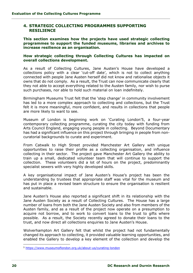#### <span id="page-20-0"></span>**4. STRATEGIC COLLECTING PROGRAMMES SUPPORTING RESILIENCE**

**This section examines how the projects have used strategic collecting programmes to support the funded museums, libraries and archives to increase resilience as an organisation.**

#### **How strategic collecting through Collecting Cultures has impacted on overall collections development.**

As a result of Collecting Cultures, Jane Austen's House have developed a collections policy with a clear 'cut-off date', which is not to collect anything connected with people Jane Austen herself did not know and rationalise objects it owns that do not comply. As a result, the Trust can now communicate clearly that they not able to accept everything related to the Austen family, nor wish to purse such purchases, nor able to hold such material on loan indefinitely.

Birmingham Museums Trust felt that the 'step change' in community involvement has led to a more complex approach to collecting and collections, but the Trust felt it is more meaningful, more confident, and results in collections that people are more likely to want to see.

Museum of London is beginning work on 'Curating London'5, a four-year contemporary collecting programme, curating the city today with funding from Arts Council England, engaging young people in collecting. Beyond Documentary has had a significant influence on this project through bringing in people from noncuratorial backgrounds to curate and experiment.

From Catwalk to High Street provided Manchester Art Gallery with unique opportunities to raise their profile as a collecting organisation, and influence collecting in their sector. The project gave Manchester Art Gallery the ability to train up a small, dedicated volunteer team that will continue to support the collection. These volunteers did a lot of hours on the project, predominantly specialist sewers with very highly developed skills.

A key organisational impact of Jane Austen's House's project has been the understanding by trustees that appropriate staff was vital for the museum and has put in place a revised team structure to ensure the organisation is resilient and sustainable.

Jane Austen's House also reported a significant shift in its relationship with the Jane Austen Society as a result of Collecting Cultures. The House has a large number of loans from both the Jane Austen Society and also from members of the Austen family, and as a result of the project now operate on a presumption to acquire not borrow, and to work to convert loans to the trust to gifts where possible. As a result, the Society recently agreed to donate their loans to the trust, and now direct all collections enquiries to Jane Austen's House.

Wolverhampton Art Gallery felt that whilst the project had not fundamentally changed its approach to collecting, it provided valuable learning opportunities, and enabled the Gallery to develop a key element of the collection and develop the

<sup>5</sup> <https://www.museumoflondon.org.uk/about-us/curating-london>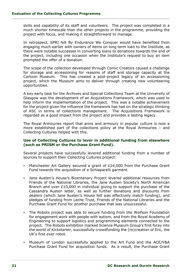skills and capability of its staff and volunteers. The project was completed in a much shorter timescale than the other projects in the programme, providing the project with focus, and making it straightforward to manage.

In retrospect, SPRI felt By Endurance We Conquer would have benefited from engaging much earlier with owners of items on long term loan to the Institute, as there were notable successes in converting loans to donations towards the end of the project, including one occasion when the Institute's request to buy an item prompted the offer of a donation.

The scope of the collection developed through Comic Creators caused a challenge for storage and accessioning for reasons of staff and storage capacity at the Cartoon Museum. This has created a post-project legacy of an accessioning project, which the Museum aims to deliver through creating new volunteering opportunities.

A key early task for the Archives and Special Collections Team at the University of Glasgow was the development of an Acquisitions Framework, which was used to help inform the implementation of the project. This was a notable achievement for the project given the influence the framework has had on the strategic thinking of ASC in terms of collections management. The Acquisitions Framework is regarded as a good impact from the project and provides a lasting legacy.

The Royal Armouries report that arms and armoury in popular culture is now a more established part of the collections policy at the Royal Armouries – and Collecting Cultures helped with this.

#### **Use of Collecting Cultures to lever in additional funding from elsewhere (such as PRISM or the Purchase Grant Fund).**

Several projects have successfully levered additional funding from a number of sources to support their Collecting Cultures project:

- Manchester Art Gallery secured a grant of  $£24,000$  from the Purchase Grant Fund towards the acquisition of a Schiaparelli garment.
- Jane Austen's House's Bicentenary Project levered additional resources from Friends of the National Libraries, the Jane Austen Society's North American Branch and over £10,000 in individual giving to support the purchase of the Cassandra Austen letter, as well as further donations and discounts from dealers (which Jane Austen's House felt was effectively match funding), and pledges of funding from Leche Trust, Friends of the National Libraries and the Purchase Grant Fund for another purchase that was unsuccessful.
- The Robots project was able to secure funding from the Wolfson Foundation for engagement work with people with autism, and from the Royal Academy of Engineering to support logistics and programming elements connected to the project. The Robots exhibition marked Science Museum Group's first foray into the world of Kickstarter, successfully crowdfunding the (re)creation of Eric, the UK's first ever robot.
- Museum of London successfully applied to the Art Fund and the ACE/V&A Purchase Grant Fund for acquisition funds. As a result, the Purchase Grant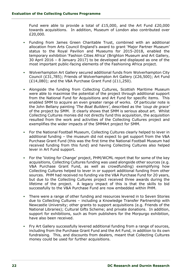Fund were able to provide a total of £15,000, and the Art Fund £20,000 towards acquisitions. In addition, Museum of London also contributed over £20,000.

- Funding from James Green Charitable Trust, combined with an additional allocation from Arts Council England's award to grant 'Major Partner Museum' status to the Royal Pavilion and Museums for 2015-2018, enabled the temporary exhibition 'Fashion Cities Africa' (Brighton Museum and Art Gallery, 30 April 2016 – 8 January 2017) to be developed and displayed as one of the most important public-facing elements of the Fashioning Africa project.
- Wolverhampton Art Gallery secured additional funds from Wolverhampton City Council (£31,785); Friends of Wolverhampton Art Gallery (£26,500); Art Fund (£14,080); and the V&A Purchase Grant Fund (£11,250).
- Alongside the funding from Collecting Cultures, Scottish Maritime Museum were able to maximise the potential of the project through additional support from the National Fund for Acquisitions and Art Fund for specific items. This enabled SMM to acquire an even greater range of works. Of particular note is the John Bellany painting *'The Boat Builders'*, described as the *'coup de grace'* of the project by SMM. It clearly shows that SMM is serious about art. Whilst Collecting Cultures monies did not directly fund this acquisition, the acquisition resulted from the work and activities of the Collecting Cultures project and exemplifies the wider impacts of the SMMArt project for SMM.
- For the National Football Museum, Collecting Cultures clearly helped to lever in additional funding – the museum did not expect to get support from the V&A Purchase Grant Fund (this was the first time the National Football Museum had received funding from this fund) and having Collecting Cultures also helped lever in Art Fund support.
- For the 'Voting for Change' project, PHM/WCML report that for some of the key acquisitions, Collecting Cultures funding was used alongside other sources (e.g. V&A Purchase Grant Fund, as well as crowdfunding) exemplifying how Collecting Cultures helped to lever in or support additional funding from other sources. PHM had received no funding via the V&A Purchase Fund for 20 years, but due to the Collecting Cultures project received three awards during the lifetime of the project. A legacy impact of this is that the skills to bid successfully to the V&A Purchase Fund are now embedded within PHM.
- There were a range of other funding and resources levered in to Seven Stories due to Collecting Cultures – including a Knowledge Transfer Partnership with Newcastle University; other grants to support acquisitions (e.g. Friends of the National Libraries); Cultural Gifts Scheme; and private donations. In addition, support for exhibitions, such as from publishers for the Morpurgo exhibition, have also been received.
- Fry Art Gallery successfully levered additional funding from a range of sources, including from the Purchase Grant Fund and the Art Fund, in addition to its own fundraising. This, and discounts from dealers, meant that Collecting Cultures money could be used for further acquisitions.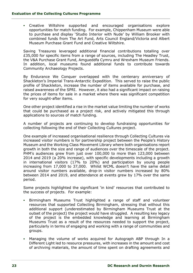▪ Creative Wiltshire supported and encouraged organisations explore opportunities for match funding. For example, Chippenham Museum were able to purchase and display 'Studio Interior with Nude' by William Brooker with combined funds from The Art Fund, Arts Council England/Victoria and Albert Museum Purchase Grant Fund and Creative Wiltshire.

Saving Treasures leveraged additional financial contributions totalling over £35,000 for specific items from a range of sources, including The Headley Trust, the V&A Purchase Grant Fund, Amgueddfa Cymru and Wrexham Museum Friends. In addition, local museums found additional funds to contribute towards Community Archaeology Projects.

By Endurance We Conquer overlapped with the centenary anniversary of Shackleton's Imperial Trans-Antarctic Expedition. This served to raise the public profile of Shackleton, increase the number of items available for purchase, and raised awareness of the SPRI. However, it also had a significant impact on raising the prices of items for sale in a market where there was significant competition for very sought-after items.

One other project identified a rise in the market value limiting the number of works that could be purchased as a project risk, and actively mitigated this through applications to sources of match funding.

A number of projects are continuing to develop fundraising opportunities for collecting following the end of their Collecting Cultures project.

One example of increased organisational resilience through Collecting Cultures via increased visitor numbers is for partnership project between the People's History Museum and the Working Class Movement Library where both organisations report growth in both the size and range of audiences over the timescale of the project. PHM's audiences grew from just over 100,000 to more than 123,000 between 2014 and 2019 (a 20% increase), with specific developments including a growth in international visitors (17% to 20%) and participation by young people increasing from 17,000 to 37,000. Whilst WCML doesn't have the same detail around visitor numbers available, drop-in visitor numbers increased by 80% between 2014 and 2019, and attendance at events grew by 17% over the same period.

Some projects highlighted the significant 'in kind' resources that contributed to the success of projects. For example:

- Birmingham Museums Trust highlighted a range of staff and volunteer resources that supported Collecting Birmingham, stressing that without this additional support (underestimated by Birmingham Museums Trust at the outset of the project) the project would have struggled. A resulting key legacy of the project is the embedded knowledge and learning at Birmingham Museums Trust as a result of the resources needed to support the project, particularly in terms of engaging and working with a range of communities and groups.
- Managing the volume of works acquired for Autograph ABP through In a Different Light led to resource pressures, with increases in the amount and cost of archiving materials, the amount of time spent on drafting agreements and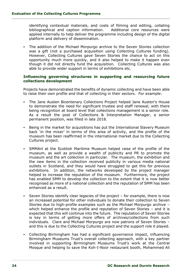identifying contextual materials, and costs of filming and editing, collating bibliographical and caption information.Additional core resources were applied internally to help deliver the programme including design of the digital platform and delivery of dissemination.

▪ The addition of the Michael Morpurgo archive to the Seven Stories collection was a gift (not a purchased acquisition using Collecting Cultures funding). However, Collecting Cultures gave Seven Stories the chance to act on this opportunity much more quickly, and it also helped to make it happen even though it did not directly fund the acquisition. Collecting Cultures was also able to provide wider support in terms of exhibitions etc.

#### **Influencing governing structures in supporting and resourcing future collections development**

Projects have demonstrated the benefits of dynamic collecting and have been able to raise their own profile and that of collecting in their sectors. For example:

- The Jane Austen Bicentenary Collections Project helped Jane Austen's House to demonstrate the need for significant trustee and staff renewal, with there being recognition at board level that collections management is a senior role. As a result the post of Collections & Interpretation Manager, a senior permanent position, was filled in late 2018.
- Being in the market for acquisitions has put the International Slavery Museum back 'in the mixer' in terms of this area of activity, and the profile of the museum has been reaffirmed in the international market due to the Collecting Cultures project.
- SMMArt at the Scottish Maritime Museum helped raise of the profile of the museum, as well as provide a wealth of publicity and PR to promote the museum and the art collection in particular. The museum, the exhibition and the new items in the collection received publicity in various media national outlets in Scotland, and they would have struggled to get this for previous exhibitions. In addition, the networks developed by the project manager helped to increase the reputation of the museum. Furthermore, the project has enabled SMM to develop the collection to the extent that it is now better recognised as more of a national collection and the reputation of SMM has been enhanced as a result.
- Seven Stories identify clear legacies of the project  $-$  for example, there is now an increased potential for other individuals to donate their collection to Seven Stories due to high-profile examples such as the Michael Morpurgo archive – which helped enhance the profile and reputation of Seven Stories – and it is expected that this will continue into the future. The reputation of Seven Stories is key in terms of getting more offers of archives/collections from such individuals. Clare and Michael Morpurgo are now patrons of Seven Stories – and this is due to the Collecting Cultures project and the support role it played.
- Collecting Birmingham has had a significant governance impact, influencing Birmingham Museums Trust's overall collecting approach, with a key partner involved in supporting Birmingham Museums Trust's work at the Central Mosque and helping to save the Koh-I-Noor restaurant booth, Mohammed Ali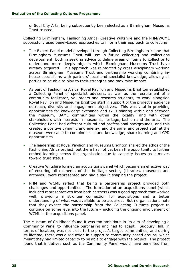of Soul City Arts, being subsequently been elected as a Birmingham Museums Trust trustee.

Collecting Birmingham, Fashioning Africa, Creative Wiltshire and the PHM/WCML successfully used panel-based approaches to inform their approach to collecting:

- The Expert Panel model developed through Collecting Birmingham is one that Birmingham Museums Trust will use in future collecting and collections development, both in seeking advice to define areas or items to collect or to understand more deeply objects which Birmingham Museums Trust have already acquired. This approach was reinforced by cross-disciplinary working across Birmingham Museums Trust and partnership working combining inhouse specialisms with partners' local and specialist knowledge, allowing all parties to be able to play to their strengths and maximise impact.
- As part of Fashioning Africa, Royal Pavilion and Museums Brighton established a Collecting Panel of specialist advisers, as well as the recruitment of a community facilitator, volunteers and research students, to work alongside Royal Pavilion and Museums Brighton staff in support of the project's audience outreach, diversity and engagement objectives. This was vital in providing opportunities for knowledge exchange and skills-sharing within and between the museum, BAME communities within the locality, and with other stakeholders with interests in museums, heritage, fashion and the arts. The Collecting Panel had different cultural and professional backgrounds, and this created a positive dynamic and energy, and the panel and project staff at the museum were able to combine skills and knowledge, share learning and CPD opportunities.
- The leadership at Royal Pavilion and Museums Brighton shared the ethos of the Fashioning Africa project, but there has not yet been the opportunity to further embed learning across the organisation due to capacity issues as it moves toward trust status.
- Creative Wiltshire formed an acquisitions panel which became an effective way of ensuring all elements of the heritage sector, (libraries, museums and archives), were represented and had a say in shaping the project.
- . PHM and WCML reflect that being a partnership project provided both challenges and opportunities. The formation of an acquisitions panel (which included representatives from both partners) was a good approach that worked well, providing a stronger connection for acquisitions and a better understanding of what was available to be acquired. Both organisations note that they expect the partnership from the Collecting Cultures project to continue on some level into the future – including the ongoing involvement of WCML in the acquisitions panel.

The Museum of Childhood found it was too ambitious in its aim of developing a Community Panel to influence purchasing and had to adapt. Sudbury Hall, in terms of location, was not close to the project's target communities, and during its lifetime, there was a reduction in support to community-based groups, which meant they had limited capacity to be able to engage with the project. The project found that initiatives such as the Community Panel would have benefited from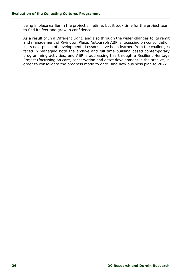being in place earlier in the project's lifetime, but it took time for the project team to find its feet and grow in confidence.

As a result of In a Different Light, and also through the wider changes to its remit and management of Rivington Place, Autograph ABP is focussing on consolidation in its next phase of development. Lessons have been learned from the challenges faced in managing both the archive and full time building based contemporary programming activities, and ABP is addressing this through a Resilient Heritage Project (focussing on care, conservation and asset development in the archive, in order to consolidate the progress made to date) and new business plan to 2022.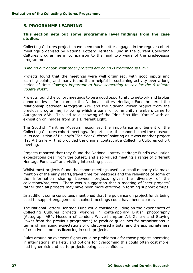### <span id="page-27-0"></span>**5. PROGRAMME LEARNING**

#### **This section sets out some programme level findings from the case studies.**

Collecting Cultures projects have been much better engaged in the regular cohort meetings organised by National Lottery Heritage Fund in the current Collecting Cultures programme in comparison to the final two years of the predecessor programme.

#### *"Finding out about what other projects are doing is tremendous CPD"*

Projects found that the meetings were well organised, with good inputs and learning points, and many found them helpful in sustaining activity over a long period of time *("always important to have something to say for the 5 minute update slots*").

Projects found the cohort meetings to be a good opportunity to network and broker opportunities – for example the National Lottery Heritage Fund brokered the relationship between Autograph ABP and the Staying Power project from the previous programme, following which a panel of community members came to Autograph ABP. This led to a showing of the Idris Elba film 'Yardie' with an exhibition on images from In a Different Light.

The Scottish Maritime Museum recognised the importance and benefit of the Collecting Cultures cohort meetings. In particular, the cohort helped the museum in its acquisition of Bellany's *'The Boat Builders'* painting as it was another project (Fry Art Gallery) that provided the original contact at a Collecting Cultures cohort meeting.

Projects reported that they found the National Lottery Heritage Fund's evaluation expectations clear from the outset, and also valued meeting a range of different Heritage Fund staff and visiting interesting places.

Whilst most projects found the cohort meetings useful, a small minority did make mention of the early starts/travel time for meetings and the relevance of some of the information sharing between projects given the diversity of the collections/projects. There was a suggestion that a meeting of 'peer projects' rather than all projects may have been more effective in forming support groups.

In addition, some consultees mentioned that the guidance on project funds being used to support engagement in cohort meetings could have been clearer.

The National Lottery Heritage Fund could consider building on the experiences of Collecting Cultures projects working in contemporary British photography (Autograph ABP, Museum of London, Wolverhampton Art Gallery and Staying Power from the previous programme) to produce guidelines for organisations in terms of managing expectations of undiscovered artists, and the appropriateness of creative commons licencing in such projects.

Rules around no overseas flights could be problematic for those projects operating in international markets, and options for overcoming this could often cost more, had higher risk and led to projects being less confident.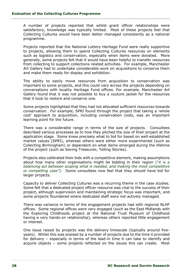A number of projects reported that whilst grant officer relationships were satisfactory, knowledge was typically limited. Most of these projects feel that Collecting Cultures would have been better managed consistently as a national programme.

Projects reported that the National Lottery Heritage Fund were really supportive to projects, allowing them to spend Collecting Cultures resources on elements such as logistics and conservation, especially when items were donated. More generally, some projects felt that it would have been helpful to transfer resources from collecting to support collections related activities. For example, Manchester Art Gallery had to undertake considerable work on acquisitions to conserve them and make them ready for display and exhibition.

The ability to easily move resources from acquisition to conservation was important to some projects, and this could vary across the projects depending on conversations with locality Heritage Fund offices. For example, Manchester Art Gallery found that it was not possible to buy a couture jacket for the resources that it took to restore and conserve one.

Some projects highlighted that they had not allocated sufficient resources towards conservation. For example, SPRI found through the project that taking a 'whole cost' approach to acquisition, including conservation costs, was an important learning point for the future.

There was a considerable range in terms of the size of projects. Consultees described various processes as to how they pitched the size of their project at the application stage. Some knew precisely what to bid for based on well-established market values (SPRI), whereas others were either more experimental (such as Collecting Birmingham) or dependent on what items emerged during the lifetime of the project (such as Saving Treasures; Telling Stories).

Projects also calibrated their bids with a competitive element, making assumptions about how many other organisations might be bidding in their region (*"it is a balancing act between scoping what is needed, and making the most competitive or compelling case")*. Some consultees now feel that they should have bid for larger projects.

Capacity to deliver Collecting Cultures was a recurring theme in the case studies. Some felt that a dedicated project officer resource was vital to the success of their project, although supervision and maintaining strategic focus was important, and some projects floundered where dedicated staff were not actively managed.

There was variance in terms of the engagement projects had with regional NLHF offices. Some regional offices were very engaged (such as the East Midlands with the Exploring Childhoods project at the National Trust Museum of Childhood having a very hands-on relationship), whereas others reported little engagement or interest.

One issue raised by projects was the delivery timescale (typically around fiveyears). Whilst this was praised by a number of projects due to the time it provided for delivery – especially in terms of the lead-in time it can take to identify and acquire objects – some projects reflected on the issues this can create. Most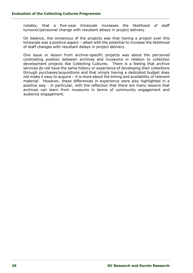notably, that a five-year timescale increases the likelihood of staff turnover/personnel change with resultant delays in project delivery.

On balance, the consensus of the projects was that having a project over this timescale was a positive aspect – albeit with the potential to increase the likelihood of staff changes with resultant delays in project delivery.

One issue or lesson from archive-specific projects was about the perceived contrasting position between archives and museums in relation to collection development projects like Collecting Cultures. There is a feeling that archive services do not have the same history or experience of developing their collections through purchases/acquisitions and that simply having a dedicated budget does not make it easy to acquire – it is more about the timing and availability of relevant material. However, these differences in experience were also highlighted in a positive way - in particular, with the reflection that there are many lessons that archives can learn from museums in terms of community engagement and audience engagement.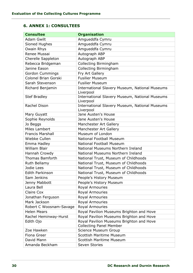# <span id="page-30-0"></span>**6. ANNEX 1: CONSULTEES**

| <b>Consultee</b>            | <b>Organisation</b>                                                        |
|-----------------------------|----------------------------------------------------------------------------|
| <b>Adam Gwilt</b>           | Amgueddfa Cymru                                                            |
| Sioned Hughes               | Amgueddfa Cymru                                                            |
| Owain Rhys                  | Amgueddfa Cymru                                                            |
| Renee Mussai                | Autograph ABP                                                              |
| Cherelle Sappleton          | Autograph ABP                                                              |
| Rebecca Bridgeman           | Collecting Birmingham                                                      |
| Janine Eason                | Collecting Birmingham                                                      |
| <b>Gordon Cummings</b>      | Fry Art Gallery                                                            |
| <b>Colonel Brian Gorski</b> | <b>Fusilier Museum</b>                                                     |
| Sarah Stevenson             | <b>Fusilier Museum</b>                                                     |
| Richard Benjamin            | International Slavery Museum, National Museums<br>Liverpool                |
| <b>Stef Bradley</b>         | <b>International Slavery Museum, National Museums</b><br>Liverpool         |
| Rachel Dison                | International Slavery Museum, National Museums<br>Liverpool                |
| Mary Guyatt                 | Jane Austen's House                                                        |
| Sophie Reynolds             | Jane Austen's House                                                        |
| Jo Beggs                    | Manchester Art Gallery                                                     |
| Miles Lambert               | Manchester Art Gallery                                                     |
| <b>Francis Marshall</b>     | Museum of London                                                           |
| Wiebke Cullen               | <b>National Football Museum</b>                                            |
| Emma Hadley                 | <b>National Football Museum</b>                                            |
| <b>William Blair</b>        | National Museums Northern Ireland                                          |
| Hannah Crowdy               | National Museums Northern Ireland                                          |
| <b>Thomas Bamforth</b>      | National Trust, Museum of Childhoods                                       |
| Ruth Bellamy                | National Trust, Museum of Childhoods                                       |
| Jodie Lees                  | National Trust, Museum of Childhoods                                       |
| <b>Edith Parkinson</b>      | National Trust, Museum of Childhoods                                       |
| Sam Jenkins                 | People's History Museum                                                    |
| Jenny Mabbott               | People's History Museum                                                    |
| Laura Bell                  | Royal Armouries                                                            |
| Claire Cox                  | Royal Armouries                                                            |
| Jonathan Ferguson           | <b>Royal Armouries</b>                                                     |
| Mark Jackson                | <b>Royal Armouries</b>                                                     |
| Robert C Woosnam-Savage     | Royal Armouries                                                            |
| <b>Helen Mears</b>          | Royal Pavilion Museums Brighton and Hove                                   |
| Rachel Heminway-Hurst       | Royal Pavilion Museums Brighton and Hove                                   |
| Edith Ojo                   | Royal Pavilion Museums Brighton and Hove<br><b>Collecting Panel Member</b> |
| Zoe Hawken                  | Science Museum Group                                                       |
| Fiona Greer                 | <b>Scottish Maritime Museum</b>                                            |
| David Mann                  | <b>Scottish Maritime Museum</b>                                            |
| Amanda Beckham              | Seven Stories                                                              |